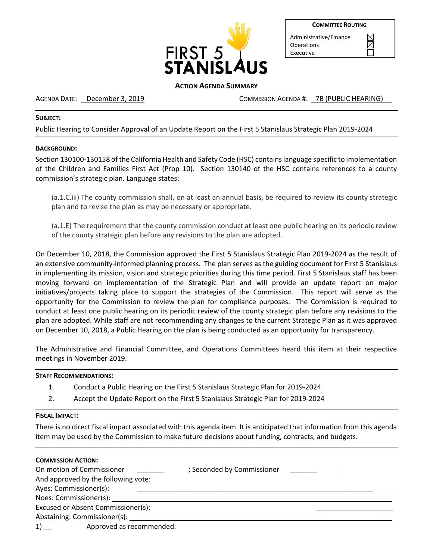

| <b>COMMITTEE ROUTING</b> |
|--------------------------|
|--------------------------|

 $\boxtimes$ 

Administrative/Finance Operations Executive

# **ACTION AGENDA SUMMARY**

AGENDA DATE: December 3, 2019 COMMISSION AGENDA #: 7B (PUBLIC HEARING)

# **SUBJECT:**

Public Hearing to Consider Approval of an Update Report on the First 5 Stanislaus Strategic Plan 2019-2024

## **BACKGROUND:**

Section 130100-130158 of the California Health and Safety Code (HSC) contains language specific to implementation of the Children and Families First Act (Prop 10). Section 130140 of the HSC contains references to a county commission's strategic plan. Language states:

(a.1.C.iii) The county commission shall, on at least an annual basis, be required to review its county strategic plan and to revise the plan as may be necessary or appropriate.

(a.1.E) The requirement that the county commission conduct at least one public hearing on its periodic review of the county strategic plan before any revisions to the plan are adopted.

On December 10, 2018, the Commission approved the First 5 Stanislaus Strategic Plan 2019-2024 as the result of an extensive community-informed planning process. The plan serves as the guiding document for First 5 Stanislaus in implementing its mission, vision and strategic priorities during this time period. First 5 Stanislaus staff has been moving forward on implementation of the Strategic Plan and will provide an update report on major initiatives/projects taking place to support the strategies of the Commission. This report will serve as the opportunity for the Commission to review the plan for compliance purposes. The Commission is required to conduct at least one public hearing on its periodic review of the county strategic plan before any revisions to the plan are adopted. While staff are not recommending any changes to the current Strategic Plan as it was approved on December 10, 2018, a Public Hearing on the plan is being conducted as an opportunity for transparency.

The Administrative and Financial Committee, and Operations Committees heard this item at their respective meetings in November 2019.

### **STAFF RECOMMENDATIONS:**

- 1. Conduct a Public Hearing on the First 5 Stanislaus Strategic Plan for 2019-2024
- 2. Accept the Update Report on the First 5 Stanislaus Strategic Plan for 2019-2024

### **FISCAL IMPACT:**

There is no direct fiscal impact associated with this agenda item. It is anticipated that information from this agenda item may be used by the Commission to make future decisions about funding, contracts, and budgets.

| <b>COMMISSION ACTION:</b>                                                                                                                                                                                                      |                            |
|--------------------------------------------------------------------------------------------------------------------------------------------------------------------------------------------------------------------------------|----------------------------|
| On motion of Commissioner                                                                                                                                                                                                      | ; Seconded by Commissioner |
| And approved by the following vote:                                                                                                                                                                                            |                            |
| Ayes: Commissioner(s): 1999 Mayon State Maynes and Maynes and Maynes and Maynes and Maynes and Maynes and Maynes and Maynes and Maynes and Maynes and Maynes and Maynes and Maynes and Maynes and Maynes and Maynes and Maynes |                            |
| Noes: Commissioner(s):                                                                                                                                                                                                         |                            |
| Excused or Absent Commissioner(s):                                                                                                                                                                                             |                            |
|                                                                                                                                                                                                                                |                            |
| Approved as recommended.<br>1)                                                                                                                                                                                                 |                            |